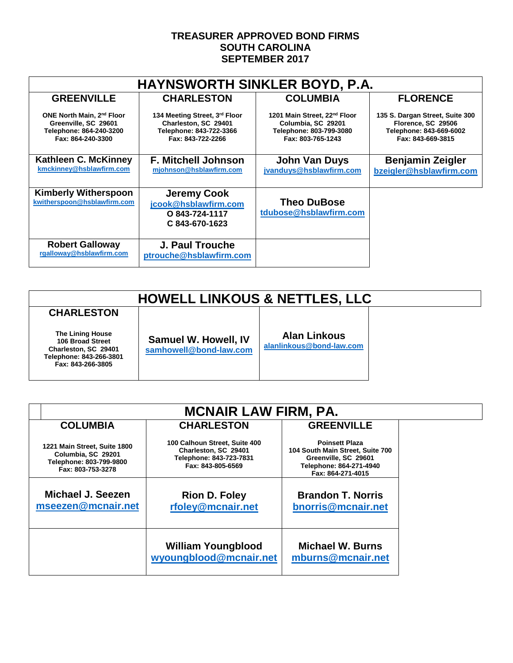## **TREASURER APPROVED BOND FIRMS SOUTH CAROLINA SEPTEMBER 2017**

| <b>HAYNSWORTH SINKLER BOYD, P.A.</b>                                                                          |                                                                                                       |                                                                                                                |                                                                                                       |  |  |
|---------------------------------------------------------------------------------------------------------------|-------------------------------------------------------------------------------------------------------|----------------------------------------------------------------------------------------------------------------|-------------------------------------------------------------------------------------------------------|--|--|
| <b>GREENVILLE</b>                                                                                             | <b>CHARLESTON</b>                                                                                     | <b>COLUMBIA</b>                                                                                                | <b>FLORENCE</b>                                                                                       |  |  |
| ONE North Main, 2 <sup>nd</sup> Floor<br>Greenville, SC 29601<br>Telephone: 864-240-3200<br>Fax: 864-240-3300 | 134 Meeting Street, 3rd Floor<br>Charleston, SC 29401<br>Telephone: 843-722-3366<br>Fax: 843-722-2266 | 1201 Main Street, 22 <sup>nd</sup> Floor<br>Columbia, SC 29201<br>Telephone: 803-799-3080<br>Fax: 803-765-1243 | 135 S. Dargan Street, Suite 300<br>Florence, SC 29506<br>Telephone: 843-669-6002<br>Fax: 843-669-3815 |  |  |
| Kathleen C. McKinney<br>kmckinney@hsblawfirm.com                                                              | <b>F. Mitchell Johnson</b><br>mjohnson@hsblawfirm.com                                                 | <b>John Van Duys</b><br>jvanduys@hsblawfirm.com                                                                | <b>Benjamin Zeigler</b><br>bzeigler@hsblawfirm.com                                                    |  |  |
| <b>Kimberly Witherspoon</b><br>kwitherspoon@hsblawfirm.com                                                    | <b>Jeremy Cook</b><br>jcook@hsblawfirm.com<br>O 843-724-1117<br>C 843-670-1623                        | <b>Theo DuBose</b><br>tdubose@hsblawfirm.com                                                                   |                                                                                                       |  |  |
| <b>Robert Galloway</b><br>rgalloway@hsblawfirm.com                                                            | <b>J. Paul Trouche</b><br>ptrouche@hsblawfirm.com                                                     |                                                                                                                |                                                                                                       |  |  |

# **HOWELL LINKOUS & NETTLES, LLC**

**CHARLESTON The Lining House 106 Broad Street Charleston, SC 29401 Telephone: 843-266-3801 Fax: 843-266-3805**

**Samuel W. Howell, IV [samhowell@bond-law.com](mailto:samhowell@bond-law.com)** **Alan Linkous**

**[alanlinkous@bond-law.com](mailto:alanlinkous@bond-law.com)**

| <b>MCNAIR LAW FIRM, PA.</b>                                                                        |                                                                                                       |                                                                                                                                   |  |  |
|----------------------------------------------------------------------------------------------------|-------------------------------------------------------------------------------------------------------|-----------------------------------------------------------------------------------------------------------------------------------|--|--|
| <b>COLUMBIA</b>                                                                                    | <b>CHARLESTON</b>                                                                                     | <b>GREENVILLE</b>                                                                                                                 |  |  |
| 1221 Main Street, Suite 1800<br>Columbia, SC 29201<br>Telephone: 803-799-9800<br>Fax: 803-753-3278 | 100 Calhoun Street, Suite 400<br>Charleston, SC 29401<br>Telephone: 843-723-7831<br>Fax: 843-805-6569 | <b>Poinsett Plaza</b><br>104 South Main Street, Suite 700<br>Greenville, SC 29601<br>Telephone: 864-271-4940<br>Fax: 864-271-4015 |  |  |
| Michael J. Seezen<br>mseezen@mcnair.net                                                            | <b>Rion D. Foley</b><br>rfoley@mcnair.net                                                             | <b>Brandon T. Norris</b><br>bnorris@mcnair.net                                                                                    |  |  |
|                                                                                                    | <b>William Youngblood</b><br>wyoungblood@mcnair.net                                                   | <b>Michael W. Burns</b><br>mburns@mcnair.net                                                                                      |  |  |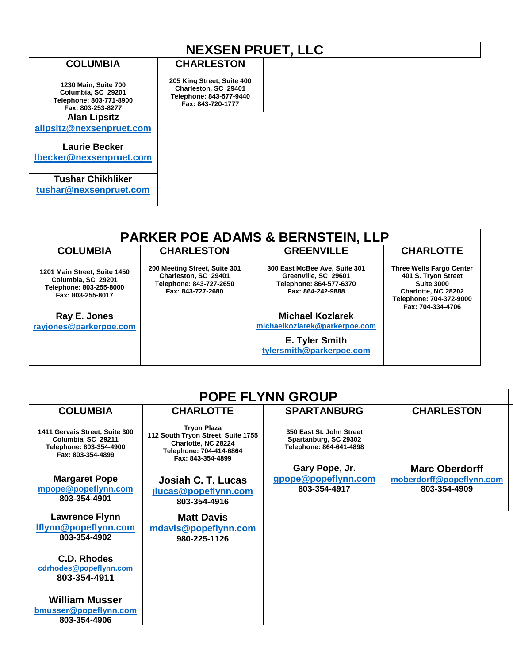# **NEXSEN PRUET, LLC**

**CHARLESTON**

**205 King Street, Suite 400 Charleston, SC 29401 Telephone: 843-577-9440 Fax: 843-720-1777**

### **COLUMBIA**

**1230 Main, Suite 700 Columbia, SC 29201 Telephone: 803-771-8900 Fax: 803-253-8277**

#### **Alan Lipsitz**

**alipsitz@nexsenpruet.com**

### **Laurie Becker**

**[lbecker@nexsenpruet.com](mailto:lbecker@nexsenpruet.com)**

## **Tushar Chikhliker**

**[tushar@nexsenpruet.com](mailto:tushar@nexsenpruet.com)**

#### **PARKER POE ADAMS & BERNSTEIN, LLP COLUMBIA 1201 Main Street, Suite 1450 Columbia, SC 29201 Telephone: 803-255-8000 Fax: 803-255-8017 CHARLESTON 200 Meeting Street, Suite 301 Charleston, SC 29401 Telephone: 843-727-2650 Fax: 843-727-2680 GREENVILLE 300 East McBee Ave, Suite 301 Greenville, SC 29601 Telephone: 864-577-6370 Fax: 864-242-9888 CHARLOTTE Three Wells Fargo Center 401 S. Tryon Street Suite 3000 Charlotte, NC 28202 Telephone: 704-372-9000 Fax: 704-334-4706 Ray E. Jones [rayjones@parkerpoe.com](mailto:rayjones@parkerpoe.com) Michael Kozlarek [michaelkozlarek@parkerpoe.com](mailto:michaelkozlarek@parkerpoe.com) E. Tyler Smith [tylersmith@parkerpoe.com](mailto:tylersmith@parkerpoe.com)**

| <b>POPE FLYNN GROUP</b>                                                                              |                                                                                                                                 |                                                                              |                                          |  |  |  |
|------------------------------------------------------------------------------------------------------|---------------------------------------------------------------------------------------------------------------------------------|------------------------------------------------------------------------------|------------------------------------------|--|--|--|
| <b>COLUMBIA</b>                                                                                      | <b>CHARLOTTE</b>                                                                                                                | <b>SPARTANBURG</b>                                                           | <b>CHARLESTON</b>                        |  |  |  |
| 1411 Gervais Street, Suite 300<br>Columbia, SC 29211<br>Telephone: 803-354-4900<br>Fax: 803-354-4899 | <b>Tryon Plaza</b><br>112 South Tryon Street, Suite 1755<br>Charlotte, NC 28224<br>Telephone: 704-414-6864<br>Fax: 843-354-4899 | 350 East St. John Street<br>Spartanburg, SC 29302<br>Telephone: 864-641-4898 |                                          |  |  |  |
|                                                                                                      |                                                                                                                                 | Gary Pope, Jr.                                                               | <b>Marc Oberdorff</b>                    |  |  |  |
| <b>Margaret Pope</b><br>mpope@popeflynn.com                                                          | Josiah C. T. Lucas                                                                                                              | gpope@popeflynn.com<br>803-354-4917                                          | moberdorff@popeflynn.com<br>803-354-4909 |  |  |  |
| 803-354-4901                                                                                         | jlucas@popeflynn.com<br>803-354-4916                                                                                            |                                                                              |                                          |  |  |  |
| <b>Lawrence Flynn</b>                                                                                | <b>Matt Davis</b>                                                                                                               |                                                                              |                                          |  |  |  |
| Iflynn@popeflynn.com<br>803-354-4902                                                                 | mdavis@popeflynn.com<br>980-225-1126                                                                                            |                                                                              |                                          |  |  |  |
|                                                                                                      |                                                                                                                                 |                                                                              |                                          |  |  |  |
| C.D. Rhodes                                                                                          |                                                                                                                                 |                                                                              |                                          |  |  |  |
| cdrhodes@popeflynn.com                                                                               |                                                                                                                                 |                                                                              |                                          |  |  |  |
| 803-354-4911                                                                                         |                                                                                                                                 |                                                                              |                                          |  |  |  |
| <b>William Musser</b>                                                                                |                                                                                                                                 |                                                                              |                                          |  |  |  |
| bmusser@popeflynn.com                                                                                |                                                                                                                                 |                                                                              |                                          |  |  |  |
| 803-354-4906                                                                                         |                                                                                                                                 |                                                                              |                                          |  |  |  |